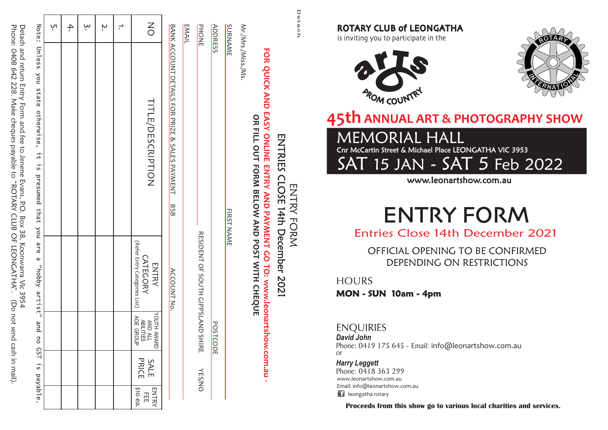Detach and return Entry Form and fee to Jenene Evans, R.O. Box 38, Koonwarra Vic 3954<br>Phone: 0408 642 228. Make cheques payable to "ROTARY CLUB OF LEONGATHA". (D Phone: 0408 642 228. Make cheques payable to "ROTARY CLUB OF LEONGATHA". (Do not send cash in mail). Detach and return Entry Form and fee to Jenene Evans, P.O. Box 38, Koonwarra Vic 3954 (Do not send cash in mail).

| ֖֖֖֖ׅׅׅׅ֖֚֚֚֚֚֚֚֚֚֚֚֚֚֚֚֬֕֕֕֝֘֝֬֝֬֝֬֝֬֝֬֝֬֝֬֝֬֝֬֬֝֬֝֬֝֬֝֬֬֝֬֬֝֬ |                                                                                                      |
|-----------------------------------------------------------------|------------------------------------------------------------------------------------------------------|
|                                                                 |                                                                                                      |
|                                                                 |                                                                                                      |
|                                                                 |                                                                                                      |
| ֘֒                                                              |                                                                                                      |
|                                                                 | Note: Unless you state otherwise, it is presumed that you are a "hopby artist" and no GST is payable |
|                                                                 |                                                                                                      |
|                                                                 |                                                                                                      |
| ֚֚֡                                                             |                                                                                                      |
|                                                                 |                                                                                                      |
|                                                                 |                                                                                                      |
|                                                                 |                                                                                                      |
|                                                                 |                                                                                                      |
|                                                                 |                                                                                                      |
|                                                                 |                                                                                                      |
|                                                                 |                                                                                                      |
|                                                                 |                                                                                                      |
|                                                                 |                                                                                                      |
|                                                                 |                                                                                                      |
|                                                                 |                                                                                                      |
|                                                                 |                                                                                                      |
|                                                                 |                                                                                                      |
|                                                                 |                                                                                                      |

| ŗ | 4. | ببا | Ņ | $\leq$                                                        |                                                             | <b>EMAIL</b> |
|---|----|-----|---|---------------------------------------------------------------|-------------------------------------------------------------|--------------|
|   |    |     |   | TITLE/DESCRIPTION                                             | B ANX A COON U DELATIS FOR BAIZE & SALES PAYNEN PAYANE HANS |              |
|   |    |     |   | (Refer Entry Categories List)<br>CATEGORY<br><b>ENTRY</b>     | ACCOUNT No.                                                 |              |
|   |    |     |   | YOUTH AWARD<br>AND ALL<br>ABILITIES<br>ABILITIES<br>AGE GROUP |                                                             |              |
|   |    |     |   | SALE<br>PRICE                                                 |                                                             |              |
|   |    |     |   | ENTRY<br>FEE<br>;<br>\$10 ea.                                 |                                                             |              |

**PHONE ADDRESS** PHONE RESIDENT OF SOUTH GIPPSLAND SHIRE YES/NO RESIDENT OF SOUTH GIPPSLAND SHIRE **POSTCODE YES/NO** 

ADDRESS POSTCODE

**FIRST NAME** 

SURNAME FIRST NAMES FIRST NAMES FIRST NAMES FIRST NAMES FIRST NAMES FIRST NAMES FIRST NAMES FIRST NAMES FIRST N

Mr./Mrs./Miss./Ms.

Mr./Mrs./Miss./Ms

**SURNAME** 

Detach

ENTRY FORM ENTRIES CLOSE 14th December 2021

ENTRY FORM

**FOR QUICK AND EASY ONLINE ENTRY AND PAYMENT GO TO: www.leonartshow.com.au - OR FILL OUT FORM BELOW AND POST WITH CHEQUE**

ENTRY AND PAYMENT GO

TO: www.leonartshow.com.au

÷.

OR FILL OUT FORM BELOW AND POST WITH CHEQUE

**FOR QUICK AND EASY ONLINE** 

ENTRIES

**CLOSE** 

14th December 2021

**ROTARY CLUB of LEONGATHA** 

is inviting you to participate in the





# **45th ANNUAL ART & PHOTOGRAPHY SHOW**

Cnr McCartin Street & Michael Place LEONGATHA VIC 3953 MEMORIAL HALL

SAT 15 JAN - SAT 5 Feb 2022

www.leonartshow.com.au

# **ENTRY FORM**

Entries Close 14th December 2021

OFFICIAL OPENING TO BE CONFIRMED DEPENDING ON RESTRICTIONS

**HOURS** 

**MON - SUN 10am - 4pm**

#### **ENQUIRIES**

*David John* Phone: 0419 175 645 - Email: info@leonartshow.com.au or

**Li** leongatha rotary www.leonartshow.com.au Email: info@leonartshow.com.au *Harry Leggett* Phone: 0418 363 299

**Proceeds from this show go to various local charities and services.**